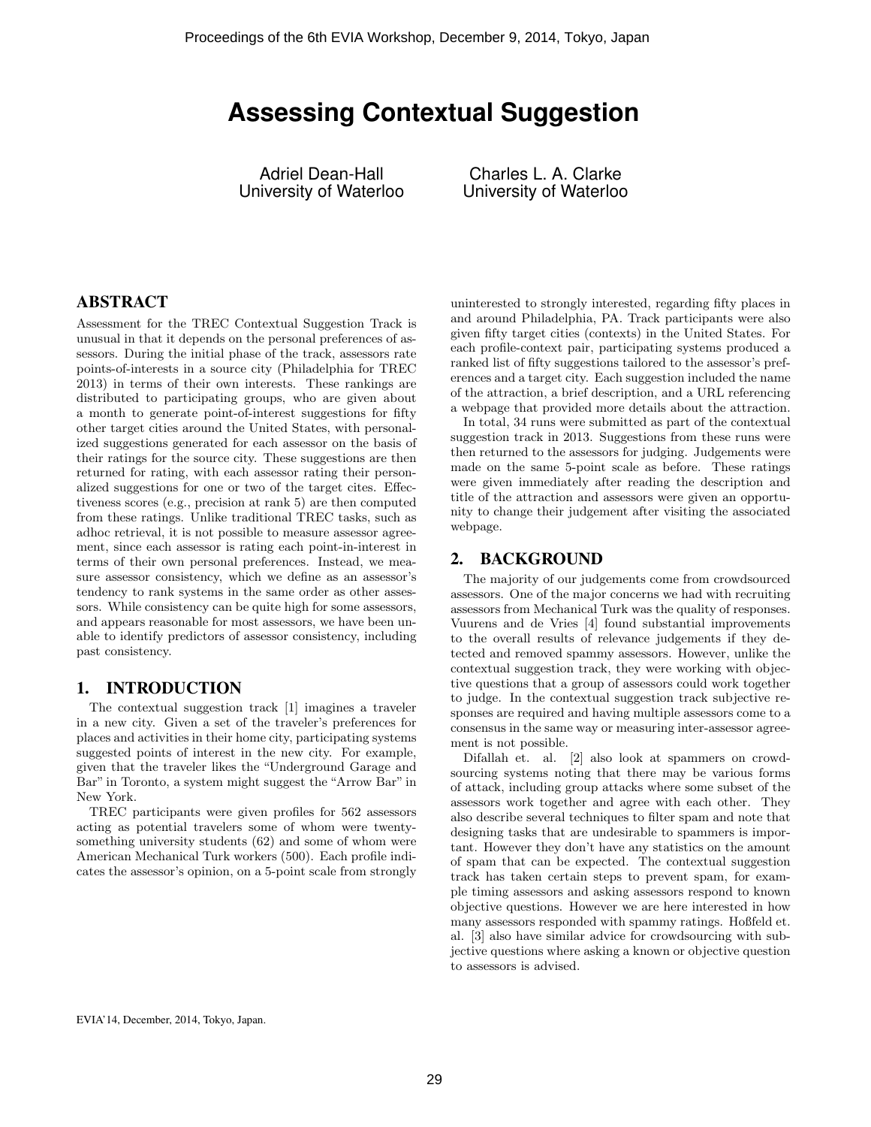# **Assessing Contextual Suggestion**

Adriel Dean-Hall University of Waterloo

Charles L. A. Clarke University of Waterloo

# ABSTRACT

Assessment for the TREC Contextual Suggestion Track is unusual in that it depends on the personal preferences of assessors. During the initial phase of the track, assessors rate points-of-interests in a source city (Philadelphia for TREC 2013) in terms of their own interests. These rankings are distributed to participating groups, who are given about a month to generate point-of-interest suggestions for fifty other target cities around the United States, with personalized suggestions generated for each assessor on the basis of their ratings for the source city. These suggestions are then returned for rating, with each assessor rating their personalized suggestions for one or two of the target cites. Effectiveness scores (e.g., precision at rank 5) are then computed from these ratings. Unlike traditional TREC tasks, such as adhoc retrieval, it is not possible to measure assessor agreement, since each assessor is rating each point-in-interest in terms of their own personal preferences. Instead, we measure assessor consistency, which we define as an assessor's tendency to rank systems in the same order as other assessors. While consistency can be quite high for some assessors, and appears reasonable for most assessors, we have been unable to identify predictors of assessor consistency, including past consistency.

## 1. INTRODUCTION

The contextual suggestion track [1] imagines a traveler in a new city. Given a set of the traveler's preferences for places and activities in their home city, participating systems suggested points of interest in the new city. For example, given that the traveler likes the "Underground Garage and Bar" in Toronto, a system might suggest the "Arrow Bar" in New York.

TREC participants were given profiles for 562 assessors acting as potential travelers some of whom were twentysomething university students (62) and some of whom were American Mechanical Turk workers (500). Each profile indicates the assessor's opinion, on a 5-point scale from strongly

uninterested to strongly interested, regarding fifty places in and around Philadelphia, PA. Track participants were also given fifty target cities (contexts) in the United States. For each profile-context pair, participating systems produced a ranked list of fifty suggestions tailored to the assessor's preferences and a target city. Each suggestion included the name of the attraction, a brief description, and a URL referencing a webpage that provided more details about the attraction.

In total, 34 runs were submitted as part of the contextual suggestion track in 2013. Suggestions from these runs were then returned to the assessors for judging. Judgements were made on the same 5-point scale as before. These ratings were given immediately after reading the description and title of the attraction and assessors were given an opportunity to change their judgement after visiting the associated webpage.

## 2. BACKGROUND

The majority of our judgements come from crowdsourced assessors. One of the major concerns we had with recruiting assessors from Mechanical Turk was the quality of responses. Vuurens and de Vries [4] found substantial improvements to the overall results of relevance judgements if they detected and removed spammy assessors. However, unlike the contextual suggestion track, they were working with objective questions that a group of assessors could work together to judge. In the contextual suggestion track subjective responses are required and having multiple assessors come to a consensus in the same way or measuring inter-assessor agreement is not possible.

Difallah et. al. [2] also look at spammers on crowdsourcing systems noting that there may be various forms of attack, including group attacks where some subset of the assessors work together and agree with each other. They also describe several techniques to filter spam and note that designing tasks that are undesirable to spammers is important. However they don't have any statistics on the amount of spam that can be expected. The contextual suggestion track has taken certain steps to prevent spam, for example timing assessors and asking assessors respond to known objective questions. However we are here interested in how many assessors responded with spammy ratings. Hoßfeld et. al. [3] also have similar advice for crowdsourcing with subjective questions where asking a known or objective question to assessors is advised.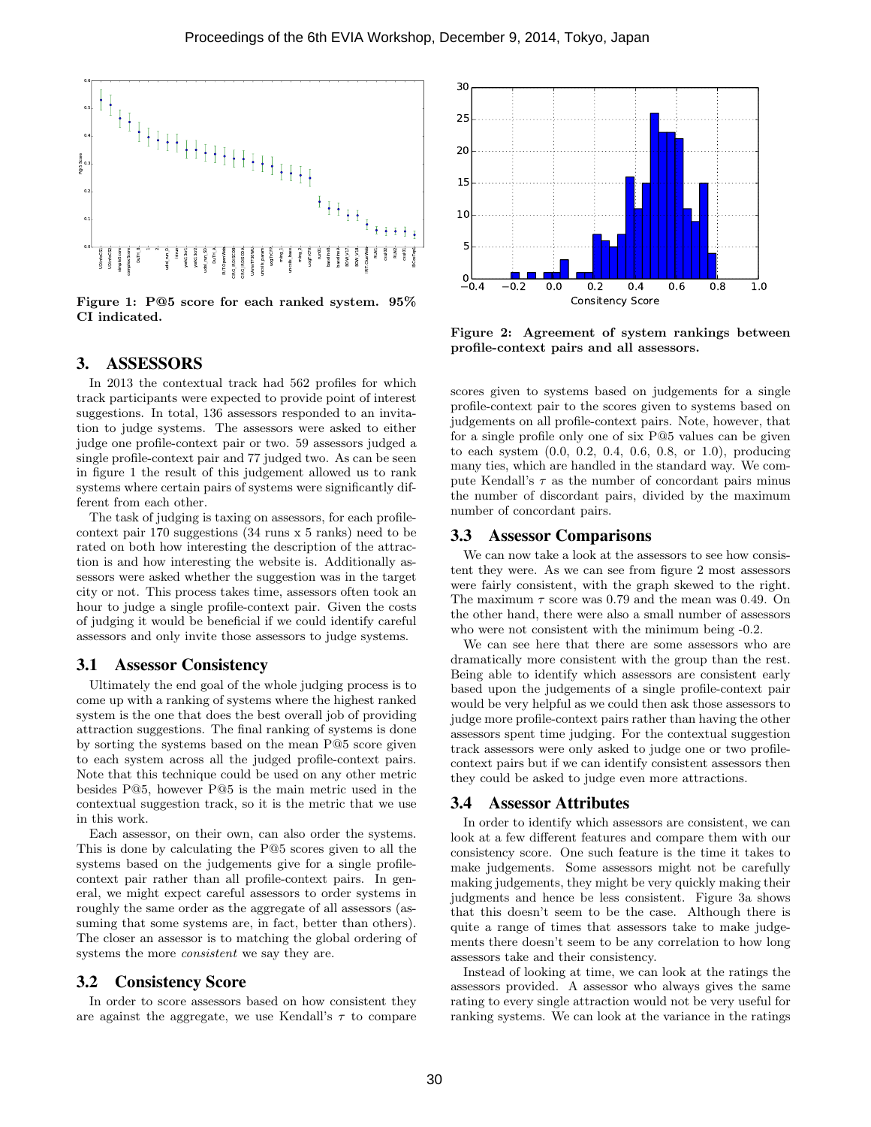

Figure 1: P@5 score for each ranked system. 95% CI indicated.

## 3. ASSESSORS

In 2013 the contextual track had 562 profiles for which track participants were expected to provide point of interest suggestions. In total, 136 assessors responded to an invitation to judge systems. The assessors were asked to either judge one profile-context pair or two. 59 assessors judged a single profile-context pair and 77 judged two. As can be seen in figure 1 the result of this judgement allowed us to rank systems where certain pairs of systems were significantly different from each other.

The task of judging is taxing on assessors, for each profilecontext pair 170 suggestions (34 runs x 5 ranks) need to be rated on both how interesting the description of the attraction is and how interesting the website is. Additionally assessors were asked whether the suggestion was in the target city or not. This process takes time, assessors often took an hour to judge a single profile-context pair. Given the costs of judging it would be beneficial if we could identify careful assessors and only invite those assessors to judge systems.

#### 3.1 Assessor Consistency

Ultimately the end goal of the whole judging process is to come up with a ranking of systems where the highest ranked system is the one that does the best overall job of providing attraction suggestions. The final ranking of systems is done by sorting the systems based on the mean P@5 score given to each system across all the judged profile-context pairs. Note that this technique could be used on any other metric besides P@5, however P@5 is the main metric used in the contextual suggestion track, so it is the metric that we use in this work.

Each assessor, on their own, can also order the systems. This is done by calculating the P@5 scores given to all the systems based on the judgements give for a single profilecontext pair rather than all profile-context pairs. In general, we might expect careful assessors to order systems in roughly the same order as the aggregate of all assessors (assuming that some systems are, in fact, better than others). The closer an assessor is to matching the global ordering of systems the more consistent we say they are.

#### 3.2 Consistency Score

In order to score assessors based on how consistent they are against the aggregate, we use Kendall's  $\tau$  to compare



Figure 2: Agreement of system rankings between profile-context pairs and all assessors.

scores given to systems based on judgements for a single profile-context pair to the scores given to systems based on judgements on all profile-context pairs. Note, however, that for a single profile only one of six P@5 values can be given to each system (0.0, 0.2, 0.4, 0.6, 0.8, or 1.0), producing many ties, which are handled in the standard way. We compute Kendall's  $\tau$  as the number of concordant pairs minus the number of discordant pairs, divided by the maximum number of concordant pairs.

#### 3.3 Assessor Comparisons

We can now take a look at the assessors to see how consistent they were. As we can see from figure 2 most assessors were fairly consistent, with the graph skewed to the right. The maximum  $\tau$  score was 0.79 and the mean was 0.49. On the other hand, there were also a small number of assessors who were not consistent with the minimum being  $-0.2$ .

We can see here that there are some assessors who are dramatically more consistent with the group than the rest. Being able to identify which assessors are consistent early based upon the judgements of a single profile-context pair would be very helpful as we could then ask those assessors to judge more profile-context pairs rather than having the other assessors spent time judging. For the contextual suggestion track assessors were only asked to judge one or two profilecontext pairs but if we can identify consistent assessors then they could be asked to judge even more attractions.

#### 3.4 Assessor Attributes

In order to identify which assessors are consistent, we can look at a few different features and compare them with our consistency score. One such feature is the time it takes to make judgements. Some assessors might not be carefully making judgements, they might be very quickly making their judgments and hence be less consistent. Figure 3a shows that this doesn't seem to be the case. Although there is quite a range of times that assessors take to make judgements there doesn't seem to be any correlation to how long assessors take and their consistency.

Instead of looking at time, we can look at the ratings the assessors provided. A assessor who always gives the same rating to every single attraction would not be very useful for ranking systems. We can look at the variance in the ratings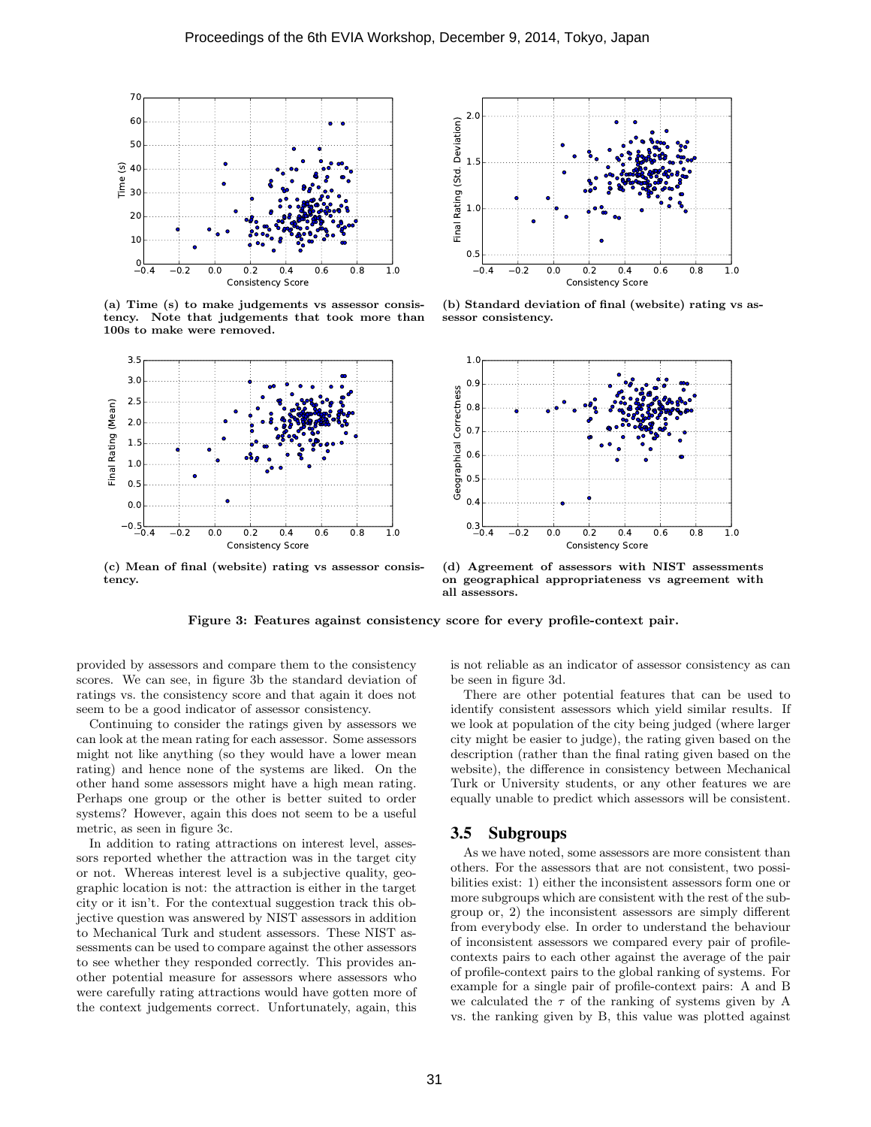

(a) Time (s) to make judgements vs assessor consistency. Note that judgements that took more than 100s to make were removed.



(c) Mean of final (website) rating vs assessor consistency.



(b) Standard deviation of final (website) rating vs assessor consistency.



(d) Agreement of assessors with NIST assessments on geographical appropriateness vs agreement with all assessors.

Figure 3: Features against consistency score for every profile-context pair.

provided by assessors and compare them to the consistency scores. We can see, in figure 3b the standard deviation of ratings vs. the consistency score and that again it does not seem to be a good indicator of assessor consistency.

Continuing to consider the ratings given by assessors we can look at the mean rating for each assessor. Some assessors might not like anything (so they would have a lower mean rating) and hence none of the systems are liked. On the other hand some assessors might have a high mean rating. Perhaps one group or the other is better suited to order systems? However, again this does not seem to be a useful metric, as seen in figure 3c.

In addition to rating attractions on interest level, assessors reported whether the attraction was in the target city or not. Whereas interest level is a subjective quality, geographic location is not: the attraction is either in the target city or it isn't. For the contextual suggestion track this objective question was answered by NIST assessors in addition to Mechanical Turk and student assessors. These NIST assessments can be used to compare against the other assessors to see whether they responded correctly. This provides another potential measure for assessors where assessors who were carefully rating attractions would have gotten more of the context judgements correct. Unfortunately, again, this is not reliable as an indicator of assessor consistency as can be seen in figure 3d.

There are other potential features that can be used to identify consistent assessors which yield similar results. If we look at population of the city being judged (where larger city might be easier to judge), the rating given based on the description (rather than the final rating given based on the website), the difference in consistency between Mechanical Turk or University students, or any other features we are equally unable to predict which assessors will be consistent.

# 3.5 Subgroups

As we have noted, some assessors are more consistent than others. For the assessors that are not consistent, two possibilities exist: 1) either the inconsistent assessors form one or more subgroups which are consistent with the rest of the subgroup or, 2) the inconsistent assessors are simply different from everybody else. In order to understand the behaviour of inconsistent assessors we compared every pair of profilecontexts pairs to each other against the average of the pair of profile-context pairs to the global ranking of systems. For example for a single pair of profile-context pairs: A and B we calculated the  $\tau$  of the ranking of systems given by A vs. the ranking given by B, this value was plotted against